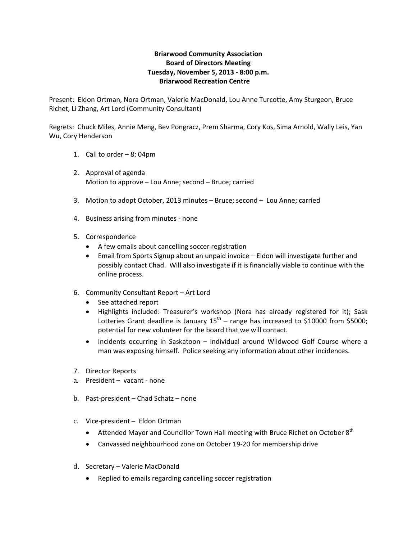## **Briarwood Community Association Board of Directors Meeting Tuesday, November 5, 2013 ‐ 8:00 p.m. Briarwood Recreation Centre**

Present: Eldon Ortman, Nora Ortman, Valerie MacDonald, Lou Anne Turcotte, Amy Sturgeon, Bruce Richet, Li Zhang, Art Lord (Community Consultant)

Regrets: Chuck Miles, Annie Meng, Bev Pongracz, Prem Sharma, Cory Kos, Sima Arnold, Wally Leis, Yan Wu, Cory Henderson

- 1. Call to order 8: 04pm
- 2. Approval of agenda Motion to approve – Lou Anne; second – Bruce; carried
- 3. Motion to adopt October, 2013 minutes Bruce; second Lou Anne; carried
- 4. Business arising from minutes ‐ none
- 5. Correspondence
	- A few emails about cancelling soccer registration
	- Email from Sports Signup about an unpaid invoice Eldon will investigate further and possibly contact Chad. Will also investigate if it is financially viable to continue with the online process.
- 6. Community Consultant Report Art Lord
	- See attached report
	- Highlights included: Treasurer's workshop (Nora has already registered for it); Sask Lotteries Grant deadline is January  $15<sup>th</sup>$  – range has increased to \$10000 from \$5000; potential for new volunteer for the board that we will contact.
	- Incidents occurring in Saskatoon individual around Wildwood Golf Course where a man was exposing himself. Police seeking any information about other incidences.
- 7. Director Reports
- a. President vacant ‐ none
- b. Past‐president Chad Schatz none
- c. Vice‐president Eldon Ortman
	- Attended Mayor and Councillor Town Hall meeting with Bruce Richet on October 8<sup>th</sup>
	- Canvassed neighbourhood zone on October 19‐20 for membership drive
- d. Secretary Valerie MacDonald
	- Replied to emails regarding cancelling soccer registration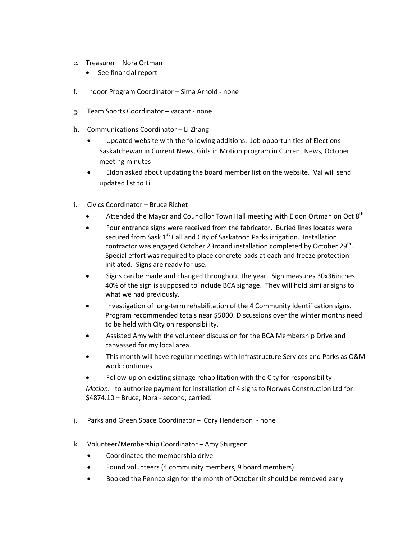- e. Treasurer Nora Ortman
	- See financial report
- f. Indoor Program Coordinator Sima Arnold ‐ none
- g. Team Sports Coordinator vacant ‐ none
- h. Communications Coordinator Li Zhang
	- Updated website with the following additions: Job opportunities of Elections Saskatchewan in Current News, Girls in Motion program in Current News, October meeting minutes
	- Eldon asked about updating the board member list on the website. Val will send updated list to Li.
- i. Civics Coordinator Bruce Richet
	- Attended the Mayor and Councillor Town Hall meeting with Eldon Ortman on Oct 8<sup>th</sup>
	- Four entrance signs were received from the fabricator. Buried lines locates were secured from Sask 1<sup>st</sup> Call and City of Saskatoon Parks irrigation. Installation contractor was engaged October 23rdand installation completed by October 29<sup>th</sup>. Special effort was required to place concrete pads at each and freeze protection initiated. Signs are ready for use.
	- Signs can be made and changed throughout the year. Sign measures 30x36inches 40% of the sign is supposed to include BCA signage. They will hold similar signs to what we had previously.
	- Investigation of long‐term rehabilitation of the 4 Community Identification signs. Program recommended totals near \$5000. Discussions over the winter months need to be held with City on responsibility.
	- Assisted Amy with the volunteer discussion for the BCA Membership Drive and canvassed for my local area.
	- This month will have regular meetings with Infrastructure Services and Parks as O&M work continues.
	- Follow-up on existing signage rehabilitation with the City for responsibility

*Motion:* to authorize payment for installation of 4 signs to Norwes Construction Ltd for \$4874.10 – Bruce; Nora ‐ second; carried.

- j. Parks and Green Space Coordinator Cory Henderson ‐ none
- k. Volunteer/Membership Coordinator Amy Sturgeon
	- Coordinated the membership drive
	- Found volunteers (4 community members, 9 board members)
	- Booked the Pennco sign for the month of October (it should be removed early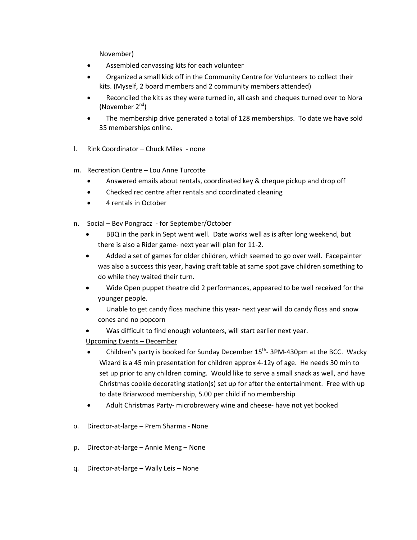November)

- Assembled canvassing kits for each volunteer
- Organized a small kick off in the Community Centre for Volunteers to collect their kits. (Myself, 2 board members and 2 community members attended)
- Reconciled the kits as they were turned in, all cash and cheques turned over to Nora (November  $2^{nd}$ )
- The membership drive generated a total of 128 memberships. To date we have sold 35 memberships online.
- l. Rink Coordinator Chuck Miles ‐ none
- m. Recreation Centre Lou Anne Turcotte
	- Answered emails about rentals, coordinated key & cheque pickup and drop off
	- Checked rec centre after rentals and coordinated cleaning
	- 4 rentals in October
- n. Social Bev Pongracz ‐ for September/October
	- BBQ in the park in Sept went well. Date works well as is after long weekend, but there is also a Rider game‐ next year will plan for 11‐2.
	- Added a set of games for older children, which seemed to go over well. Facepainter was also a success this year, having craft table at same spot gave children something to do while they waited their turn.
	- Wide Open puppet theatre did 2 performances, appeared to be well received for the younger people.
	- Unable to get candy floss machine this year‐ next year will do candy floss and snow cones and no popcorn
	- Was difficult to find enough volunteers, will start earlier next year.
	- Upcoming Events December
	- Children's party is booked for Sunday December  $15<sup>th</sup>$  3PM-430pm at the BCC. Wacky Wizard is a 45 min presentation for children approx 4‐12y of age. He needs 30 min to set up prior to any children coming. Would like to serve a small snack as well, and have Christmas cookie decorating station(s) set up for after the entertainment. Free with up to date Briarwood membership, 5.00 per child if no membership
	- Adult Christmas Party‐ microbrewery wine and cheese‐ have not yet booked
- o. Director‐at‐large Prem Sharma ‐ None
- p. Director‐at‐large Annie Meng None
- q. Director‐at‐large Wally Leis None